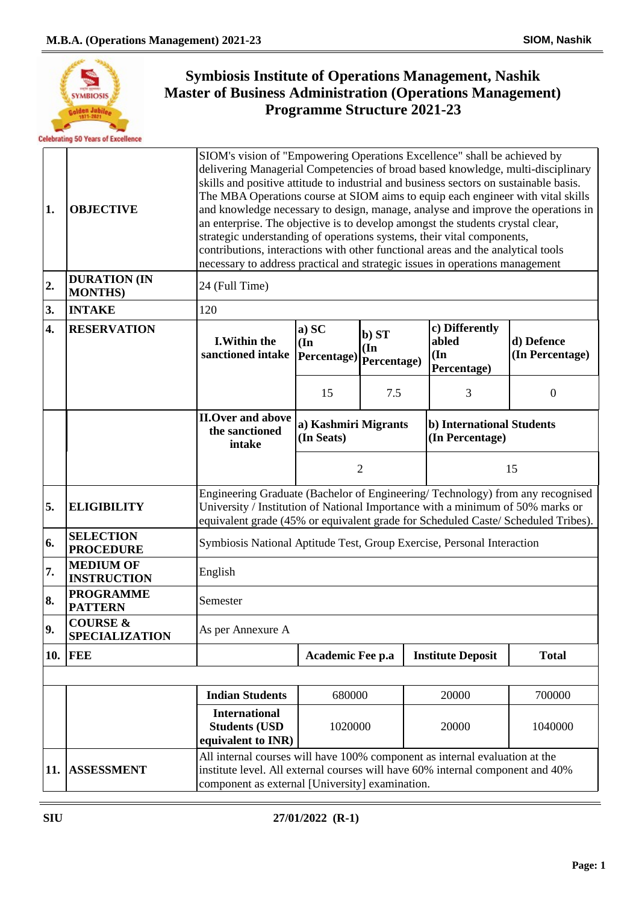

| 1.  | <b>OBJECTIVE</b>                             | SIOM's vision of "Empowering Operations Excellence" shall be achieved by<br>delivering Managerial Competencies of broad based knowledge, multi-disciplinary<br>skills and positive attitude to industrial and business sectors on sustainable basis.<br>The MBA Operations course at SIOM aims to equip each engineer with vital skills<br>and knowledge necessary to design, manage, analyse and improve the operations in<br>an enterprise. The objective is to develop amongst the students crystal clear,<br>strategic understanding of operations systems, their vital components,<br>contributions, interactions with other functional areas and the analytical tools<br>necessary to address practical and strategic issues in operations management |                                    |                                                                |                                               |                               |  |
|-----|----------------------------------------------|-------------------------------------------------------------------------------------------------------------------------------------------------------------------------------------------------------------------------------------------------------------------------------------------------------------------------------------------------------------------------------------------------------------------------------------------------------------------------------------------------------------------------------------------------------------------------------------------------------------------------------------------------------------------------------------------------------------------------------------------------------------|------------------------------------|----------------------------------------------------------------|-----------------------------------------------|-------------------------------|--|
| 2.  | <b>DURATION (IN</b><br><b>MONTHS)</b>        | 24 (Full Time)                                                                                                                                                                                                                                                                                                                                                                                                                                                                                                                                                                                                                                                                                                                                              |                                    |                                                                |                                               |                               |  |
| 3.  | <b>INTAKE</b>                                | 120                                                                                                                                                                                                                                                                                                                                                                                                                                                                                                                                                                                                                                                                                                                                                         |                                    |                                                                |                                               |                               |  |
| 4.  | <b>RESERVATION</b>                           | <b>I.Within the</b><br>sanctioned intake   Percentage)                                                                                                                                                                                                                                                                                                                                                                                                                                                                                                                                                                                                                                                                                                      | a) SC<br>(In                       | b) ST<br>$(\mathbf{In}% )\rightarrow\mathbf{C}$<br>Percentage) | c) Differently<br>abled<br>(In<br>Percentage) | d) Defence<br>(In Percentage) |  |
|     |                                              |                                                                                                                                                                                                                                                                                                                                                                                                                                                                                                                                                                                                                                                                                                                                                             | 15                                 | 7.5                                                            | 3                                             | $\mathbf{0}$                  |  |
|     |                                              | <b>II.Over and above</b><br>the sanctioned<br>intake                                                                                                                                                                                                                                                                                                                                                                                                                                                                                                                                                                                                                                                                                                        | a) Kashmiri Migrants<br>(In Seats) |                                                                | b) International Students<br>(In Percentage)  |                               |  |
|     |                                              |                                                                                                                                                                                                                                                                                                                                                                                                                                                                                                                                                                                                                                                                                                                                                             | $\overline{2}$                     |                                                                | 15                                            |                               |  |
| 5.  | <b>ELIGIBILITY</b>                           | Engineering Graduate (Bachelor of Engineering/Technology) from any recognised<br>University / Institution of National Importance with a minimum of 50% marks or<br>equivalent grade (45% or equivalent grade for Scheduled Caste/ Scheduled Tribes).                                                                                                                                                                                                                                                                                                                                                                                                                                                                                                        |                                    |                                                                |                                               |                               |  |
| 6.  | <b>SELECTION</b><br><b>PROCEDURE</b>         | Symbiosis National Aptitude Test, Group Exercise, Personal Interaction                                                                                                                                                                                                                                                                                                                                                                                                                                                                                                                                                                                                                                                                                      |                                    |                                                                |                                               |                               |  |
| 7.  | <b>MEDIUM OF</b><br><b>INSTRUCTION</b>       | English                                                                                                                                                                                                                                                                                                                                                                                                                                                                                                                                                                                                                                                                                                                                                     |                                    |                                                                |                                               |                               |  |
| 8.  | <b>PROGRAMME</b><br><b>PATTERN</b>           | Semester                                                                                                                                                                                                                                                                                                                                                                                                                                                                                                                                                                                                                                                                                                                                                    |                                    |                                                                |                                               |                               |  |
| 9.  | <b>COURSE &amp;</b><br><b>SPECIALIZATION</b> | As per Annexure A                                                                                                                                                                                                                                                                                                                                                                                                                                                                                                                                                                                                                                                                                                                                           |                                    |                                                                |                                               |                               |  |
| 10. | <b>FEE</b>                                   |                                                                                                                                                                                                                                                                                                                                                                                                                                                                                                                                                                                                                                                                                                                                                             | Academic Fee p.a                   |                                                                | <b>Institute Deposit</b>                      | <b>Total</b>                  |  |
|     |                                              |                                                                                                                                                                                                                                                                                                                                                                                                                                                                                                                                                                                                                                                                                                                                                             |                                    |                                                                |                                               |                               |  |
|     |                                              | <b>Indian Students</b>                                                                                                                                                                                                                                                                                                                                                                                                                                                                                                                                                                                                                                                                                                                                      | 680000                             |                                                                | 20000                                         | 700000                        |  |
|     |                                              | <b>International</b><br><b>Students (USD</b><br>equivalent to INR)                                                                                                                                                                                                                                                                                                                                                                                                                                                                                                                                                                                                                                                                                          | 1020000                            |                                                                | 20000                                         | 1040000                       |  |
| 11. | <b>ASSESSMENT</b>                            | All internal courses will have 100% component as internal evaluation at the<br>institute level. All external courses will have 60% internal component and 40%<br>component as external [University] examination.                                                                                                                                                                                                                                                                                                                                                                                                                                                                                                                                            |                                    |                                                                |                                               |                               |  |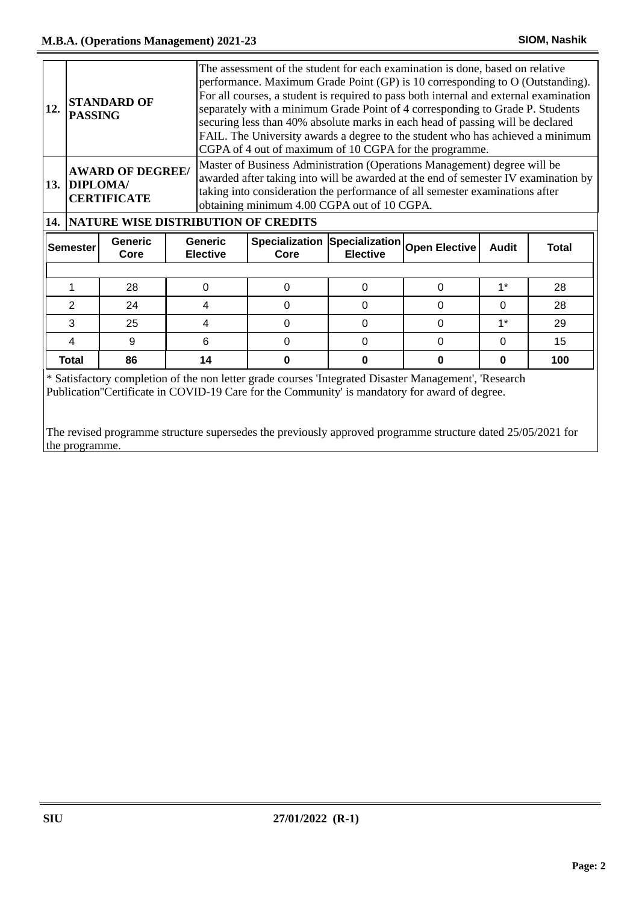| 12.                                | <b>PASSING</b> | <b>STANDARD OF</b>                            |                                         | The assessment of the student for each examination is done, based on relative<br>performance. Maximum Grade Point (GP) is 10 corresponding to O (Outstanding).<br>For all courses, a student is required to pass both internal and external examination<br>separately with a minimum Grade Point of 4 corresponding to Grade P. Students<br>securing less than 40% absolute marks in each head of passing will be declared<br>FAIL. The University awards a degree to the student who has achieved a minimum<br>CGPA of 4 out of maximum of 10 CGPA for the programme. |          |              |          |     |
|------------------------------------|----------------|-----------------------------------------------|-----------------------------------------|------------------------------------------------------------------------------------------------------------------------------------------------------------------------------------------------------------------------------------------------------------------------------------------------------------------------------------------------------------------------------------------------------------------------------------------------------------------------------------------------------------------------------------------------------------------------|----------|--------------|----------|-----|
|                                    | 13. DIPLOMA/   | <b>AWARD OF DEGREE/</b><br><b>CERTIFICATE</b> |                                         | Master of Business Administration (Operations Management) degree will be<br>awarded after taking into will be awarded at the end of semester IV examination by<br>taking into consideration the performance of all semester examinations after<br>obtaining minimum 4.00 CGPA out of 10 CGPA.                                                                                                                                                                                                                                                                          |          |              |          |     |
|                                    |                |                                               | 14. NATURE WISE DISTRIBUTION OF CREDITS |                                                                                                                                                                                                                                                                                                                                                                                                                                                                                                                                                                        |          |              |          |     |
| Generic<br><b>Semester</b><br>Core |                | Generic<br><b>Elective</b>                    | Core                                    | Specialization Specialization Open Elective<br><b>Elective</b>                                                                                                                                                                                                                                                                                                                                                                                                                                                                                                         |          | <b>Audit</b> | Total    |     |
|                                    |                |                                               |                                         |                                                                                                                                                                                                                                                                                                                                                                                                                                                                                                                                                                        |          |              |          |     |
|                                    |                |                                               |                                         |                                                                                                                                                                                                                                                                                                                                                                                                                                                                                                                                                                        |          |              |          |     |
|                                    | 1              | 28                                            | $\Omega$                                | $\Omega$                                                                                                                                                                                                                                                                                                                                                                                                                                                                                                                                                               | $\Omega$ | $\Omega$     | $1^*$    | 28  |
|                                    | $\overline{2}$ | 24                                            | 4                                       | $\Omega$                                                                                                                                                                                                                                                                                                                                                                                                                                                                                                                                                               | $\Omega$ | $\Omega$     | $\Omega$ | 28  |
|                                    | 3              | 25                                            | 4                                       | $\Omega$                                                                                                                                                                                                                                                                                                                                                                                                                                                                                                                                                               | $\Omega$ | $\Omega$     | $1^*$    | 29  |
|                                    | 4              | 9                                             | 6                                       | $\Omega$                                                                                                                                                                                                                                                                                                                                                                                                                                                                                                                                                               | $\Omega$ | $\Omega$     | $\Omega$ | 15  |
|                                    | <b>Total</b>   | 86                                            | 14                                      | 0                                                                                                                                                                                                                                                                                                                                                                                                                                                                                                                                                                      | 0        | 0            | 0        | 100 |

\* Satisfactory completion of the non letter grade courses 'Integrated Disaster Management', 'Research Publication''Certificate in COVID-19 Care for the Community' is mandatory for award of degree.

The revised programme structure supersedes the previously approved programme structure dated 25/05/2021 for the programme.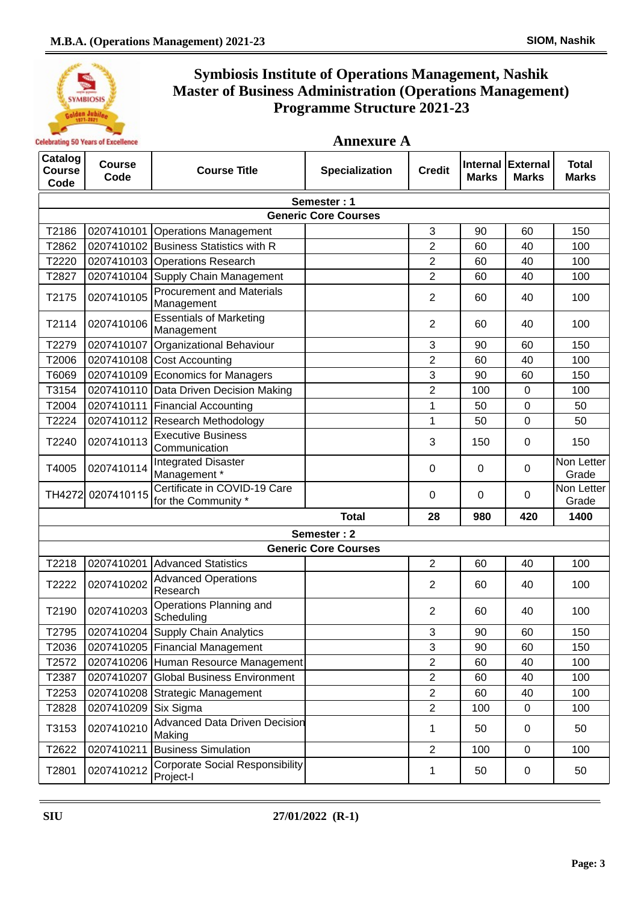

| Catalog<br><b>Course</b><br>Code | <b>Course</b><br>Code       | <b>Course Title</b>                                 | <b>Specialization</b>       | <b>Credit</b>  | <b>Internal</b><br><b>Marks</b> | <b>External</b><br><b>Marks</b> | <b>Total</b><br><b>Marks</b> |  |  |
|----------------------------------|-----------------------------|-----------------------------------------------------|-----------------------------|----------------|---------------------------------|---------------------------------|------------------------------|--|--|
|                                  | Semester: 1                 |                                                     |                             |                |                                 |                                 |                              |  |  |
|                                  | <b>Generic Core Courses</b> |                                                     |                             |                |                                 |                                 |                              |  |  |
| T2186                            |                             | 0207410101 Operations Management                    |                             | 3              | 90                              | 60                              | 150                          |  |  |
| T2862                            |                             | 0207410102 Business Statistics with R               |                             | $\overline{2}$ | 60                              | 40                              | 100                          |  |  |
| T2220                            |                             | 0207410103 Operations Research                      |                             | $\overline{2}$ | 60                              | 40                              | 100                          |  |  |
| T2827                            |                             | 0207410104 Supply Chain Management                  |                             | $\overline{2}$ | 60                              | 40                              | 100                          |  |  |
| T2175                            | 0207410105                  | <b>Procurement and Materials</b><br>Management      |                             | $\overline{2}$ | 60                              | 40                              | 100                          |  |  |
| T2114                            | 0207410106                  | <b>Essentials of Marketing</b><br>Management        |                             | $\overline{2}$ | 60                              | 40                              | 100                          |  |  |
| T2279                            | 0207410107                  | Organizational Behaviour                            |                             | 3              | 90                              | 60                              | 150                          |  |  |
| T2006                            |                             | 0207410108 Cost Accounting                          |                             | $\overline{2}$ | 60                              | 40                              | 100                          |  |  |
| T6069                            |                             | 0207410109 Economics for Managers                   |                             | 3              | 90                              | 60                              | 150                          |  |  |
| T3154                            |                             | 0207410110 Data Driven Decision Making              |                             | $\overline{2}$ | 100                             | 0                               | 100                          |  |  |
| T2004                            |                             | 0207410111 Financial Accounting                     |                             | 1              | 50                              | $\mathbf 0$                     | 50                           |  |  |
| T2224                            | 0207410112                  | <b>Research Methodology</b>                         |                             | 1              | 50                              | $\mathbf 0$                     | 50                           |  |  |
| T2240                            | 0207410113                  | <b>Executive Business</b><br>Communication          |                             | 3              | 150                             | 0                               | 150                          |  |  |
| T4005                            | 0207410114                  | <b>Integrated Disaster</b><br>Management*           |                             | 0              | 0                               | 0                               | Non Letter<br>Grade          |  |  |
|                                  | TH4272 0207410115           | Certificate in COVID-19 Care<br>for the Community * |                             | 0              | $\Omega$                        | $\Omega$                        | Non Letter<br>Grade          |  |  |
|                                  |                             |                                                     | <b>Total</b>                | 28             | 980                             | 420                             | 1400                         |  |  |
|                                  |                             |                                                     | Semester: 2                 |                |                                 |                                 |                              |  |  |
|                                  |                             |                                                     | <b>Generic Core Courses</b> |                |                                 |                                 |                              |  |  |
| T2218                            |                             | 0207410201 Advanced Statistics                      |                             | $\overline{2}$ | 60                              | 40                              | 100                          |  |  |
| T2222                            | 0207410202                  | <b>Advanced Operations</b><br>Research              |                             | $\overline{2}$ | 60                              | 40                              | 100                          |  |  |
| T2190                            | 0207410203                  | Operations Planning and<br>Scheduling               |                             | $\overline{2}$ | 60                              | 40                              | 100                          |  |  |
| T2795                            |                             | 0207410204 Supply Chain Analytics                   |                             | 3              | 90                              | 60                              | 150                          |  |  |
| T2036                            |                             | 0207410205   Financial Management                   |                             | 3              | 90                              | 60                              | 150                          |  |  |
| T2572                            |                             | 0207410206 Human Resource Management                |                             | $\overline{2}$ | 60                              | 40                              | 100                          |  |  |
| T2387                            |                             | 0207410207 Global Business Environment              |                             | $\overline{2}$ | 60                              | 40                              | 100                          |  |  |
| T2253                            |                             | 0207410208 Strategic Management                     |                             | $\overline{2}$ | 60                              | 40                              | 100                          |  |  |
| T2828                            | 0207410209 Six Sigma        |                                                     |                             | $\overline{2}$ | 100                             | $\mathsf 0$                     | 100                          |  |  |
| T3153                            | 0207410210                  | <b>Advanced Data Driven Decision</b><br>Making      |                             | 1              | 50                              | $\mathbf 0$                     | 50                           |  |  |
| T2622                            | 0207410211                  | <b>Business Simulation</b>                          |                             | $\overline{2}$ | 100                             | $\mathbf 0$                     | 100                          |  |  |
| T2801                            | 0207410212                  | <b>Corporate Social Responsibility</b><br>Project-I |                             | 1              | 50                              | 0                               | 50                           |  |  |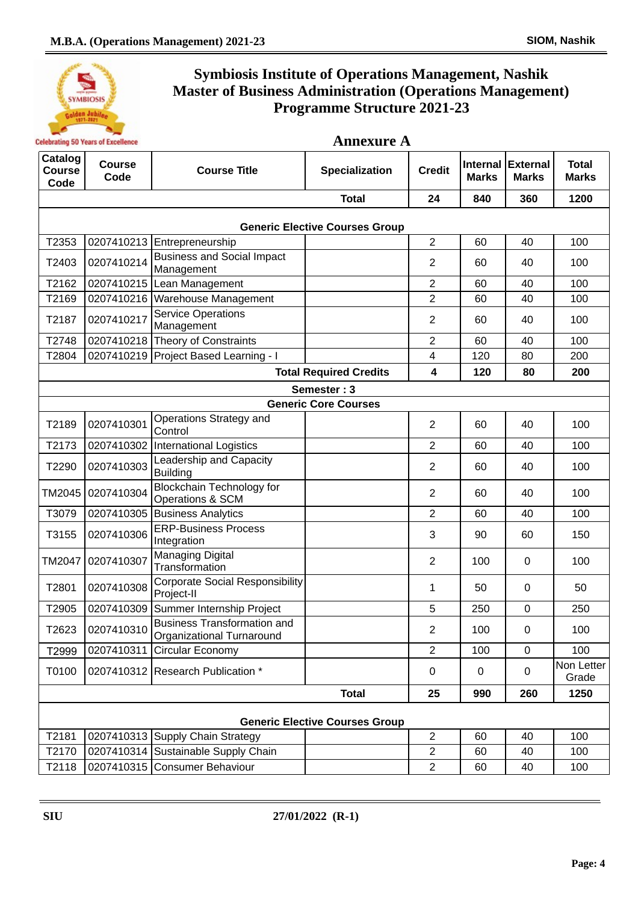

| <b>Annexure A</b> |  |
|-------------------|--|
|-------------------|--|

| Catalog<br><b>Course</b><br>Code | <b>Course</b><br>Code                 | <b>Course Title</b>                                             | <b>Specialization</b>                 | <b>Credit</b>           | Internal<br><b>Marks</b> | <b>External</b><br><b>Marks</b> | <b>Total</b><br><b>Marks</b> |  |  |
|----------------------------------|---------------------------------------|-----------------------------------------------------------------|---------------------------------------|-------------------------|--------------------------|---------------------------------|------------------------------|--|--|
|                                  |                                       |                                                                 | <b>Total</b>                          | 24                      | 840                      | 360                             | 1200                         |  |  |
|                                  | <b>Generic Elective Courses Group</b> |                                                                 |                                       |                         |                          |                                 |                              |  |  |
| T2353                            |                                       | 0207410213 Entrepreneurship                                     |                                       | $\overline{2}$          | 60                       | 40                              | 100                          |  |  |
| T2403                            | 0207410214                            | <b>Business and Social Impact</b><br>Management                 |                                       | $\overline{2}$          | 60                       | 40                              | 100                          |  |  |
| T2162                            |                                       | 0207410215 Lean Management                                      |                                       | $\overline{2}$          | 60                       | 40                              | 100                          |  |  |
| T2169                            |                                       | 0207410216 Warehouse Management                                 |                                       | $\overline{2}$          | 60                       | 40                              | 100                          |  |  |
| T2187                            | 0207410217                            | <b>Service Operations</b><br>Management                         |                                       | $\overline{2}$          | 60                       | 40                              | 100                          |  |  |
| T2748                            |                                       | 0207410218 Theory of Constraints                                |                                       | 2                       | 60                       | 40                              | 100                          |  |  |
| T2804                            |                                       | 0207410219 Project Based Learning - I                           |                                       | $\overline{\mathbf{4}}$ | 120                      | 80                              | 200                          |  |  |
|                                  |                                       |                                                                 | <b>Total Required Credits</b>         | 4                       | 120                      | 80                              | 200                          |  |  |
|                                  |                                       |                                                                 | Semester: 3                           |                         |                          |                                 |                              |  |  |
|                                  |                                       |                                                                 | <b>Generic Core Courses</b>           |                         |                          |                                 |                              |  |  |
| T2189                            | 0207410301                            | Operations Strategy and<br>Control                              |                                       | $\overline{2}$          | 60                       | 40                              | 100                          |  |  |
| T2173                            |                                       | 0207410302 International Logistics                              |                                       | $\overline{2}$          | 60                       | 40                              | 100                          |  |  |
| T2290                            | 0207410303                            | Leadership and Capacity<br><b>Building</b>                      |                                       | $\overline{2}$          | 60                       | 40                              | 100                          |  |  |
| TM2045                           | 0207410304                            | <b>Blockchain Technology for</b><br>Operations & SCM            |                                       | $\overline{2}$          | 60                       | 40                              | 100                          |  |  |
| T3079                            |                                       | 0207410305 Business Analytics                                   |                                       | $\overline{2}$          | 60                       | 40                              | 100                          |  |  |
| T3155                            | 0207410306                            | <b>ERP-Business Process</b><br>Integration                      |                                       | 3                       | 90                       | 60                              | 150                          |  |  |
| <b>TM2047</b>                    | 0207410307                            | Managing Digital<br>Transformation                              |                                       | $\overline{2}$          | 100                      | $\mathbf 0$                     | 100                          |  |  |
| T2801                            | 0207410308                            | <b>Corporate Social Responsibility</b><br>Project-II            |                                       | 1                       | 50                       | $\mathbf 0$                     | 50                           |  |  |
| T2905                            |                                       | 0207410309 Summer Internship Project                            |                                       | 5                       | 250                      | $\mathbf 0$                     | 250                          |  |  |
| T2623                            | 0207410310                            | <b>Business Transformation and</b><br>Organizational Turnaround |                                       | $\overline{2}$          | 100                      | $\Omega$                        | 100                          |  |  |
| T2999                            | 0207410311                            | Circular Economy                                                |                                       | $\overline{2}$          | 100                      | $\mathbf 0$                     | 100                          |  |  |
| T0100                            |                                       | 0207410312 Research Publication *                               |                                       | 0                       | $\mathbf 0$              | 0                               | Non Letter<br>Grade          |  |  |
|                                  |                                       |                                                                 | <b>Total</b>                          | 25                      | 990                      | 260                             | 1250                         |  |  |
|                                  |                                       |                                                                 | <b>Generic Elective Courses Group</b> |                         |                          |                                 |                              |  |  |
| T2181                            |                                       | 0207410313 Supply Chain Strategy                                |                                       | $\overline{2}$          | 60                       | 40                              | 100                          |  |  |
| T2170                            |                                       | 0207410314 Sustainable Supply Chain                             |                                       | $\overline{2}$          | 60                       | 40                              | 100                          |  |  |
| T2118                            |                                       | 0207410315 Consumer Behaviour                                   |                                       | $\overline{2}$          | 60                       | 40                              | 100                          |  |  |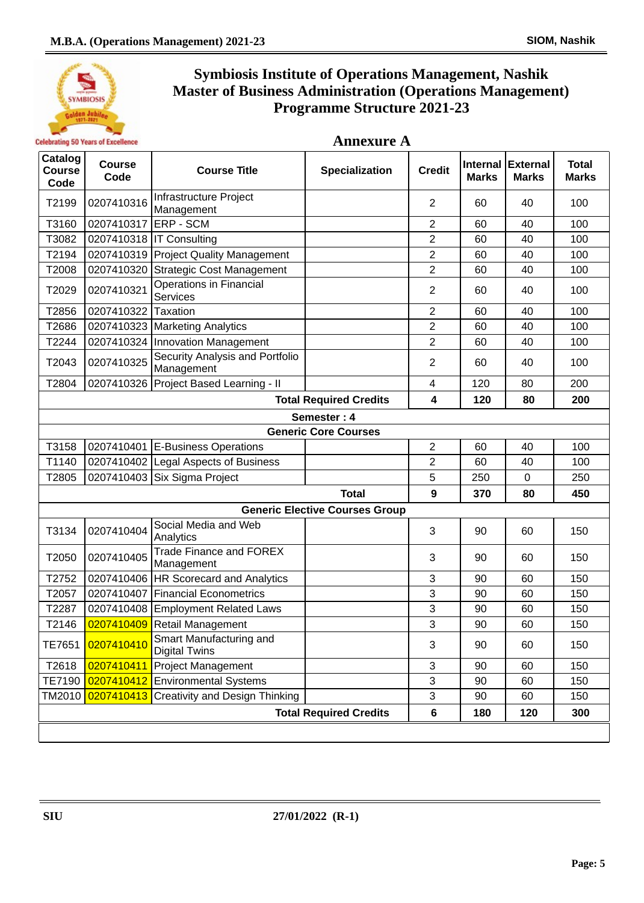

**Annexure A**

| Catalog<br><b>Course</b><br>Code | <b>Course</b><br>Code | <b>Course Title</b>                             | <b>Specialization</b>                 | <b>Credit</b>    | <b>Marks</b> | Internal External<br><b>Marks</b> | <b>Total</b><br><b>Marks</b> |  |  |
|----------------------------------|-----------------------|-------------------------------------------------|---------------------------------------|------------------|--------------|-----------------------------------|------------------------------|--|--|
| T2199                            | 0207410316            | Infrastructure Project<br>Management            |                                       | $\overline{2}$   | 60           | 40                                | 100                          |  |  |
| T3160                            | 0207410317            | <b>IERP - SCM</b>                               |                                       | 2                | 60           | 40                                | 100                          |  |  |
| T3082                            |                       | 0207410318   IT Consulting                      |                                       | $\overline{2}$   | 60           | 40                                | 100                          |  |  |
| T2194                            |                       | 0207410319 Project Quality Management           |                                       | $\overline{c}$   | 60           | 40                                | 100                          |  |  |
| T2008                            | 0207410320            | Strategic Cost Management                       |                                       | $\overline{2}$   | 60           | 40                                | 100                          |  |  |
| T2029                            | 0207410321            | <b>Operations in Financial</b><br>Services      |                                       | $\overline{2}$   | 60           | 40                                | 100                          |  |  |
| T2856                            | 0207410322            | Taxation                                        |                                       | $\overline{2}$   | 60           | 40                                | 100                          |  |  |
| T2686                            |                       | 0207410323   Marketing Analytics                |                                       | $\overline{2}$   | 60           | 40                                | 100                          |  |  |
| T2244                            |                       | 0207410324 Innovation Management                |                                       | $\overline{2}$   | 60           | 40                                | 100                          |  |  |
| T2043                            | 0207410325            | Security Analysis and Portfolio<br>Management   |                                       | $\overline{2}$   | 60           | 40                                | 100                          |  |  |
| T2804                            |                       | 0207410326 Project Based Learning - II          |                                       | 4                | 120          | 80                                | 200                          |  |  |
|                                  |                       |                                                 | <b>Total Required Credits</b>         | 4                | 120          | 80                                | 200                          |  |  |
|                                  |                       |                                                 | Semester: 4                           |                  |              |                                   |                              |  |  |
|                                  |                       |                                                 | <b>Generic Core Courses</b>           |                  |              |                                   |                              |  |  |
| T3158                            |                       | 0207410401 E-Business Operations                |                                       | $\overline{c}$   | 60           | 40                                | 100                          |  |  |
| T1140                            |                       | 0207410402 Legal Aspects of Business            |                                       | $\overline{2}$   | 60           | 40                                | 100                          |  |  |
| T2805                            |                       | 0207410403 Six Sigma Project                    |                                       | 5                | 250          | 0                                 | 250                          |  |  |
|                                  |                       |                                                 | <b>Total</b>                          | $\boldsymbol{9}$ | 370          | 80                                | 450                          |  |  |
|                                  |                       |                                                 | <b>Generic Elective Courses Group</b> |                  |              |                                   |                              |  |  |
| T3134                            | 0207410404            | Social Media and Web<br>Analytics               |                                       | 3                | 90           | 60                                | 150                          |  |  |
| T2050                            | 0207410405            | <b>Trade Finance and FOREX</b><br>Management    |                                       | 3                | 90           | 60                                | 150                          |  |  |
| T2752                            |                       | 0207410406 HR Scorecard and Analytics           |                                       | 3                | 90           | 60                                | 150                          |  |  |
| T2057                            |                       | 0207410407 Financial Econometrics               |                                       | 3                | 90           | 60                                | 150                          |  |  |
| T2287                            |                       | 0207410408 Employment Related Laws              |                                       | 3                | 90           | 60                                | 150                          |  |  |
| T2146                            |                       | 0207410409 Retail Management                    |                                       | 3                | 90           | 60                                | 150                          |  |  |
| TE7651                           | 0207410410            | Smart Manufacturing and<br><b>Digital Twins</b> |                                       | 3                | 90           | 60                                | 150                          |  |  |
| T2618                            | 0207410411            | <b>Project Management</b>                       |                                       | 3                | 90           | 60                                | 150                          |  |  |
| TE7190                           | 0207410412            | <b>Environmental Systems</b>                    |                                       | 3                | 90           | 60                                | 150                          |  |  |
| TM2010                           | 0207410413            | <b>Creativity and Design Thinking</b>           |                                       | 3                | 90           | 60                                | 150                          |  |  |
|                                  |                       |                                                 | <b>Total Required Credits</b>         | 6                | 180          | 120                               | 300                          |  |  |
|                                  |                       |                                                 |                                       |                  |              |                                   |                              |  |  |